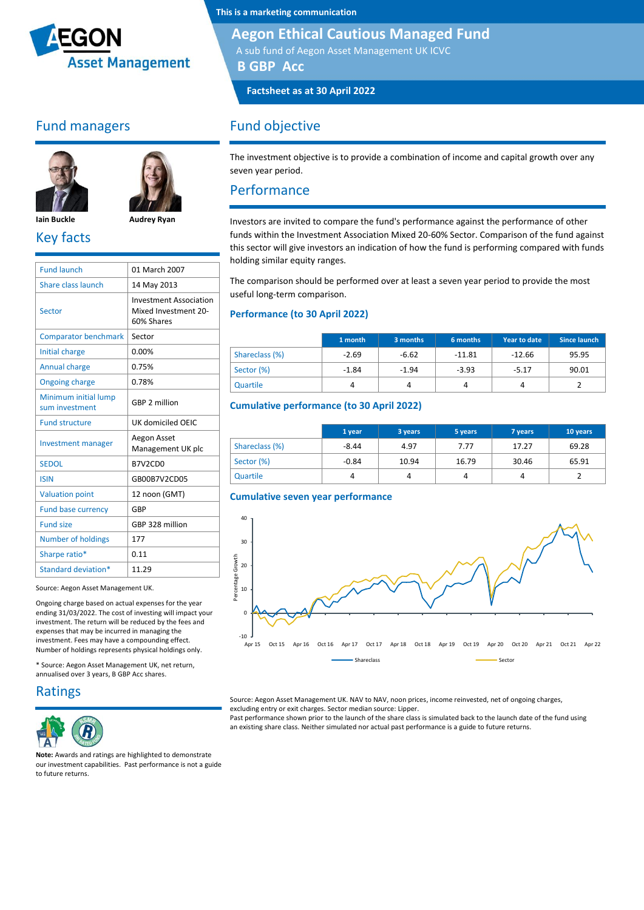

### Fund managers





**Iain Buckle Audrey Ryan** Key facts

| <b>Fund launch</b>                     | 01 March 2007                                                       |
|----------------------------------------|---------------------------------------------------------------------|
| Share class launch                     | 14 May 2013                                                         |
| Sector                                 | <b>Investment Association</b><br>Mixed Investment 20-<br>60% Shares |
| <b>Comparator benchmark</b>            | Sector                                                              |
| Initial charge                         | 0.00%                                                               |
| Annual charge                          | 0.75%                                                               |
| <b>Ongoing charge</b>                  | 0.78%                                                               |
| Minimum initial lump<br>sum investment | GBP 2 million                                                       |
| <b>Fund structure</b>                  | UK domiciled OFIC                                                   |
| <b>Investment manager</b>              | Aegon Asset<br>Management UK plc                                    |
| <b>SEDOL</b>                           | B7V2CD0                                                             |
| <b>ISIN</b>                            | GB00B7V2CD05                                                        |
| <b>Valuation point</b>                 | 12 noon (GMT)                                                       |
| <b>Fund base currency</b>              | GBP                                                                 |
| <b>Fund size</b>                       | GBP 328 million                                                     |
| <b>Number of holdings</b>              | 177                                                                 |
| Sharpe ratio*                          | 0.11                                                                |
| Standard deviation*                    | 11.29                                                               |
|                                        |                                                                     |

Source: Aegon Asset Management UK.

Ongoing charge based on actual expenses for the year ending 31/03/2022. The cost of investing will impact your investment. The return will be reduced by the fees and expenses that may be incurred in managing the investment. Fees may have a compounding effect. Number of holdings represents physical holdings only.

\* Source: Aegon Asset Management UK, net return, annualised over 3 years, B GBP Acc shares.

#### Ratings



**Note:** Awards and ratings are highlighted to demonstrate our investment capabilities. Past performance is not a guide to future returns.

**This is a marketing communication**

#### **Aegon Ethical Cautious Managed Fund**

A sub fund of Aegon Asset Management UK ICVC

**B GBP Acc**

**Factsheet as at 30 April 2022**

### Fund objective

The investment objective is to provide a combination of income and capital growth over any seven year period.

#### Performance

Investors are invited to compare the fund's performance against the performance of other funds within the Investment Association Mixed 20-60% Sector. Comparison of the fund against this sector will give investors an indication of how the fund is performing compared with funds holding similar equity ranges.

The comparison should be performed over at least a seven year period to provide the most useful long-term comparison.

#### **Performance (to 30 April 2022)**

|                | 1 month | 3 months | 6 months | <b>Year to date</b> | Since launch |
|----------------|---------|----------|----------|---------------------|--------------|
| Shareclass (%) | $-2.69$ | $-6.62$  | $-11.81$ | $-12.66$            | 95.95        |
| Sector (%)     | $-1.84$ | $-1.94$  | $-3.93$  | $-5.17$             | 90.01        |
| Quartile       |         |          |          |                     |              |

#### **Cumulative performance (to 30 April 2022)**

|                | 1 year  | 3 years | 5 years | 7 years | 10 years |
|----------------|---------|---------|---------|---------|----------|
| Shareclass (%) | $-8.44$ | 4.97    | 7.77    | 17.27   | 69.28    |
| Sector (%)     | $-0.84$ | 10.94   | 16.79   | 30.46   | 65.91    |
| Quartile       | 4       |         | 4       | 4       |          |

#### **Cumulative seven year performance**



Source: Aegon Asset Management UK. NAV to NAV, noon prices, income reinvested, net of ongoing charges, excluding entry or exit charges. Sector median source: Lipper.

Past performance shown prior to the launch of the share class is simulated back to the launch date of the fund using an existing share class. Neither simulated nor actual past performance is a guide to future returns.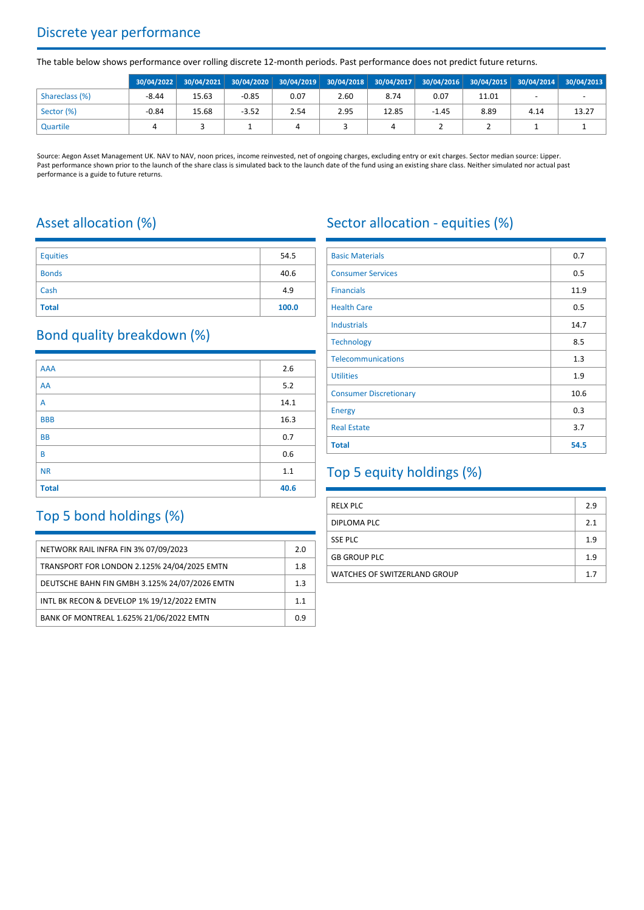## Discrete year performance

The table below shows performance over rolling discrete 12-month periods. Past performance does not predict future returns.

|                | 30/04/2022 |       |         |      |      | 30/04/2021 30/04/2020 30/04/2019 30/04/2018 30/04/2017 30/04/2016 30/04/2015 30/04/2014 30/04/2013 |         |       |      |       |
|----------------|------------|-------|---------|------|------|----------------------------------------------------------------------------------------------------|---------|-------|------|-------|
| Shareclass (%) | $-8.44$    | 15.63 | $-0.85$ | 0.07 | 2.60 | 8.74                                                                                               | 0.07    | 11.01 |      |       |
| Sector (%)     | $-0.84$    | 15.68 | $-3.52$ | 2.54 | 2.95 | 12.85                                                                                              | $-1.45$ | 8.89  | 4.14 | 13.27 |
| Quartile       |            |       |         | 4    |      |                                                                                                    |         |       |      |       |

Source: Aegon Asset Management UK. NAV to NAV, noon prices, income reinvested, net of ongoing charges, excluding entry or exit charges. Sector median source: Lipper. Past performance shown prior to the launch of the share class is simulated back to the launch date of the fund using an existing share class. Neither simulated nor actual past performance is a guide to future returns.

# Asset allocation (%)

| <b>Equities</b> | 54.5  |
|-----------------|-------|
| <b>Bonds</b>    | 40.6  |
| Cash            | 4.9   |
| <b>Total</b>    | 100.0 |

### Bond quality breakdown (%)

| <b>AAA</b>   | 2.6   |
|--------------|-------|
| AA           | $5.2$ |
| A            | 14.1  |
| <b>BBB</b>   | 16.3  |
| <b>BB</b>    | 0.7   |
| B            | 0.6   |
| <b>NR</b>    | 1.1   |
| <b>Total</b> | 40.6  |

# Top 5 bond holdings (%)

| NETWORK RAIL INFRA FIN 3% 07/09/2023          | 2.0 |
|-----------------------------------------------|-----|
| TRANSPORT FOR LONDON 2.125% 24/04/2025 EMTN   | 1.8 |
| DEUTSCHE BAHN FIN GMBH 3.125% 24/07/2026 EMTN | 1.3 |
| INTL BK RECON & DEVELOP 1% 19/12/2022 EMTN    | 11  |
| BANK OF MONTREAL 1.625% 21/06/2022 EMTN       | 0.9 |

# Sector allocation - equities (%)

| <b>Basic Materials</b>        | 0.7  |
|-------------------------------|------|
| <b>Consumer Services</b>      | 0.5  |
| <b>Financials</b>             | 11.9 |
| <b>Health Care</b>            | 0.5  |
| <b>Industrials</b>            | 14.7 |
| <b>Technology</b>             | 8.5  |
| <b>Telecommunications</b>     | 1.3  |
| <b>Utilities</b>              | 1.9  |
| <b>Consumer Discretionary</b> | 10.6 |
| <b>Energy</b>                 | 0.3  |
| <b>Real Estate</b>            | 3.7  |
| <b>Total</b>                  | 54.5 |

# Top 5 equity holdings (%)

| <b>RELX PLC</b>                     | 2.9 |
|-------------------------------------|-----|
| DIPLOMA PLC                         | 2.1 |
| <b>SSE PLC</b>                      | 1.9 |
| <b>GB GROUP PLC</b>                 | 1.9 |
| <b>WATCHES OF SWITZERLAND GROUP</b> | 1.7 |